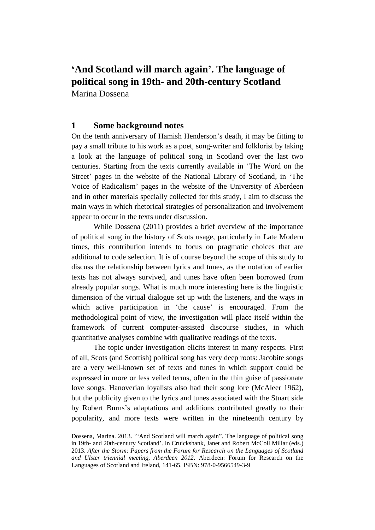# **'And Scotland will march again'. The language of political song in 19th- and 20th-century Scotland** Marina Dossena

## **1 Some background notes**

On the tenth anniversary of Hamish Henderson's death, it may be fitting to pay a small tribute to his work as a poet, song-writer and folklorist by taking a look at the language of political song in Scotland over the last two centuries. Starting from the texts currently available in 'The Word on the Street' pages in the website of the National Library of Scotland, in 'The Voice of Radicalism' pages in the website of the University of Aberdeen and in other materials specially collected for this study, I aim to discuss the main ways in which rhetorical strategies of personalization and involvement appear to occur in the texts under discussion.

While Dossena (2011) provides a brief overview of the importance of political song in the history of Scots usage, particularly in Late Modern times, this contribution intends to focus on pragmatic choices that are additional to code selection. It is of course beyond the scope of this study to discuss the relationship between lyrics and tunes, as the notation of earlier texts has not always survived, and tunes have often been borrowed from already popular songs. What is much more interesting here is the linguistic dimension of the virtual dialogue set up with the listeners, and the ways in which active participation in 'the cause' is encouraged. From the methodological point of view, the investigation will place itself within the framework of current computer-assisted discourse studies, in which quantitative analyses combine with qualitative readings of the texts.

The topic under investigation elicits interest in many respects. First of all, Scots (and Scottish) political song has very deep roots: Jacobite songs are a very well-known set of texts and tunes in which support could be expressed in more or less veiled terms, often in the thin guise of passionate love songs. Hanoverian loyalists also had their song lore (McAleer 1962), but the publicity given to the lyrics and tunes associated with the Stuart side by Robert Burns's adaptations and additions contributed greatly to their popularity, and more texts were written in the nineteenth century by

Dossena, Marina. 2013. '"And Scotland will march again". The language of political song in 19th- and 20th-century Scotland'. In Cruickshank, Janet and Robert McColl Millar (eds.) 2013. *After the Storm: Papers from the Forum for Research on the Languages of Scotland and Ulster triennial meeting, Aberdeen 2012*. Aberdeen: Forum for Research on the Languages of Scotland and Ireland, 141-65. ISBN: 978-0-9566549-3-9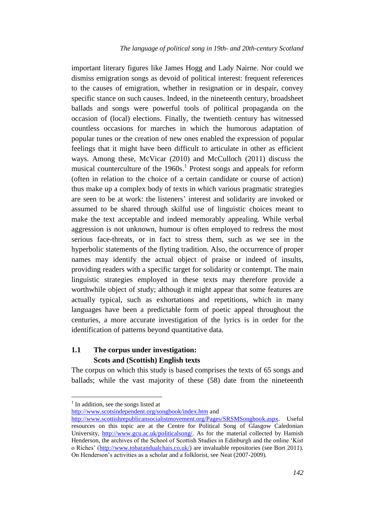important literary figures like James Hogg and Lady Nairne. Nor could we dismiss emigration songs as devoid of political interest: frequent references to the causes of emigration, whether in resignation or in despair, convey specific stance on such causes. Indeed, in the nineteenth century, broadsheet ballads and songs were powerful tools of political propaganda on the occasion of (local) elections. Finally, the twentieth century has witnessed countless occasions for marches in which the humorous adaptation of popular tunes or the creation of new ones enabled the expression of popular feelings that it might have been difficult to articulate in other as efficient ways. Among these, McVicar (2010) and McCulloch (2011) discuss the musical counterculture of the 1960s.<sup>1</sup> Protest songs and appeals for reform (often in relation to the choice of a certain candidate or course of action) thus make up a complex body of texts in which various pragmatic strategies are seen to be at work: the listeners' interest and solidarity are invoked or assumed to be shared through skilful use of linguistic choices meant to make the text acceptable and indeed memorably appealing. While verbal aggression is not unknown, humour is often employed to redress the most serious face-threats, or in fact to stress them, such as we see in the hyperbolic statements of the flyting tradition. Also, the occurrence of proper names may identify the actual object of praise or indeed of insults, providing readers with a specific target for solidarity or contempt. The main linguistic strategies employed in these texts may therefore provide a worthwhile object of study; although it might appear that some features are actually typical, such as exhortations and repetitions, which in many languages have been a predictable form of poetic appeal throughout the centuries, a more accurate investigation of the lyrics is in order for the identification of patterns beyond quantitative data.

## **1.1 The corpus under investigation: Scots and (Scottish) English texts**

The corpus on which this study is based comprises the texts of 65 songs and ballads; while the vast majority of these (58) date from the nineteenth

 $\overline{a}$ 

<sup>&</sup>lt;sup>1</sup> In addition, see the songs listed at

<http://www.scotsindependent.org/songbook/index.htm> and

[http://www.scottishrepublicansocialistmovement.org/Pages/SRSMSongbook.aspx.](http://www.scottishrepublicansocialistmovement.org/Pages/SRSMSongbook.aspx) Useful resources on this topic are at the Centre for Political Song of Glasgow Caledonian University, [http://www.gcu.ac.uk/politicalsong/.](http://www.gcu.ac.uk/politicalsong/) As for the material collected by Hamish Henderson, the archives of the School of Scottish Studies in Edinburgh and the online 'Kist o Riches' [\(http://www.tobarandualchais.co.uk/\)](http://www.tobarandualchais.co.uk/) are invaluable repositories (see Bort 2011). On Henderson's activities as a scholar and a folklorist, see Neat (2007-2009).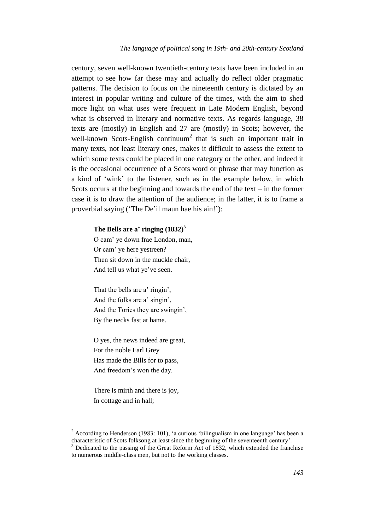century, seven well-known twentieth-century texts have been included in an attempt to see how far these may and actually do reflect older pragmatic patterns. The decision to focus on the nineteenth century is dictated by an interest in popular writing and culture of the times, with the aim to shed more light on what uses were frequent in Late Modern English, beyond what is observed in literary and normative texts. As regards language, 38 texts are (mostly) in English and 27 are (mostly) in Scots; however, the well-known Scots-English continuum<sup>2</sup> that is such an important trait in many texts, not least literary ones, makes it difficult to assess the extent to which some texts could be placed in one category or the other, and indeed it is the occasional occurrence of a Scots word or phrase that may function as a kind of 'wink' to the listener, such as in the example below, in which Scots occurs at the beginning and towards the end of the text – in the former case it is to draw the attention of the audience; in the latter, it is to frame a proverbial saying ('The De'il maun hae his ain!'):

### **The Bells are a' ringing (1832)**<sup>3</sup>

O cam' ye down frae London, man, Or cam' ye here yestreen? Then sit down in the muckle chair. And tell us what ye've seen.

That the bells are a' ringin', And the folks are a' singin', And the Tories they are swingin', By the necks fast at hame.

O yes, the news indeed are great, For the noble Earl Grey Has made the Bills for to pass, And freedom's won the day.

There is mirth and there is joy, In cottage and in hall;

 $\overline{a}$ 

<sup>&</sup>lt;sup>2</sup> According to Henderson (1983: 101), 'a curious 'bilingualism in one language' has been a characteristic of Scots folksong at least since the beginning of the seventeenth century'.

<sup>3</sup> Dedicated to the passing of the Great Reform Act of 1832, which extended the franchise to numerous middle-class men, but not to the working classes.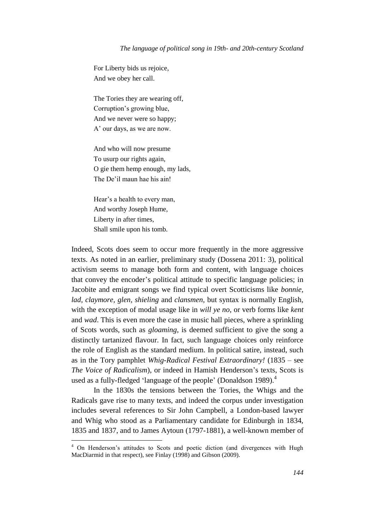For Liberty bids us rejoice, And we obey her call.

The Tories they are wearing off, Corruption's growing blue, And we never were so happy; A' our days, as we are now.

And who will now presume To usurp our rights again, O gie them hemp enough, my lads, The De'il maun hae his ain!

Hear's a health to every man, And worthy Joseph Hume, Liberty in after times, Shall smile upon his tomb.

Indeed, Scots does seem to occur more frequently in the more aggressive texts. As noted in an earlier, preliminary study (Dossena 2011: 3), political activism seems to manage both form and content, with language choices that convey the encoder's political attitude to specific language policies; in Jacobite and emigrant songs we find typical overt Scotticisms like *bonnie, lad, claymore, glen, shieling* and *clansmen*, but syntax is normally English, with the exception of modal usage like in *will ye no*, or verb forms like *kent* and *wad*. This is even more the case in music hall pieces, where a sprinkling of Scots words, such as *gloaming*, is deemed sufficient to give the song a distinctly tartanized flavour. In fact, such language choices only reinforce the role of English as the standard medium. In political satire, instead, such as in the Tory pamphlet *Whig-Radical Festival Extraordinary!* (1835 – see *The Voice of Radicalism*), or indeed in Hamish Henderson's texts, Scots is used as a fully-fledged 'language of the people' (Donaldson 1989).<sup>4</sup>

In the 1830s the tensions between the Tories, the Whigs and the Radicals gave rise to many texts, and indeed the corpus under investigation includes several references to Sir John Campbell, a London-based lawyer and Whig who stood as a Parliamentary candidate for Edinburgh in 1834, 1835 and 1837, and to James Aytoun (1797-1881), a well-known member of

<sup>&</sup>lt;sup>4</sup> On Henderson's attitudes to Scots and poetic diction (and divergences with Hugh MacDiarmid in that respect), see Finlay (1998) and Gibson (2009).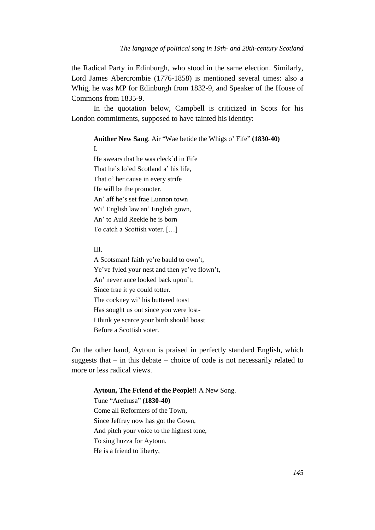the Radical Party in Edinburgh, who stood in the same election. Similarly, Lord James Abercrombie (1776-1858) is mentioned several times: also a Whig, he was MP for Edinburgh from 1832-9, and Speaker of the House of Commons from 1835-9.

In the quotation below, Campbell is criticized in Scots for his London commitments, supposed to have tainted his identity:

**Anither New Sang**. Air "Wae betide the Whigs o' Fife" **(1830-40)** I. He swears that he was cleck'd in Fife That he's lo'ed Scotland a' his life, That o' her cause in every strife He will be the promoter. An' aff he's set frae Lunnon town Wi' English law an' English gown, An' to Auld Reekie he is born To catch a Scottish voter. […]

#### III.

A Scotsman! faith ye're bauld to own't, Ye've fyled your nest and then ye've flown't, An' never ance looked back upon't, Since frae it ye could totter. The cockney wi' his buttered toast Has sought us out since you were lost-I think ye scarce your birth should boast Before a Scottish voter.

On the other hand, Aytoun is praised in perfectly standard English, which suggests that  $-$  in this debate  $-$  choice of code is not necessarily related to more or less radical views.

## **Aytoun, The Friend of the People!!** A New Song.

Tune "Arethusa" **(1830-40)** Come all Reformers of the Town, Since Jeffrey now has got the Gown, And pitch your voice to the highest tone, To sing huzza for Aytoun. He is a friend to liberty,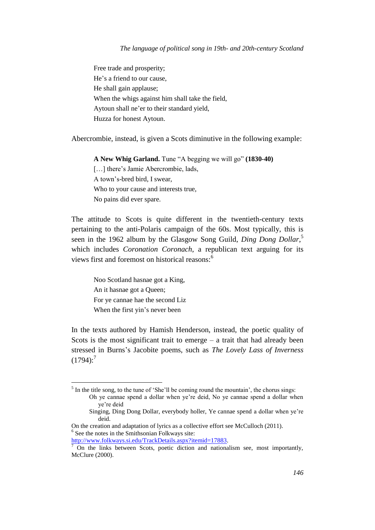Free trade and prosperity; He's a friend to our cause, He shall gain applause; When the whigs against him shall take the field, Aytoun shall ne'er to their standard yield, Huzza for honest Aytoun.

Abercrombie, instead, is given a Scots diminutive in the following example:

**A New Whig Garland.** Tune "A begging we will go" **(1830-40)** [...] there's Jamie Abercrombie, lads, A town's-bred bird, I swear, Who to your cause and interests true, No pains did ever spare.

The attitude to Scots is quite different in the twentieth-century texts pertaining to the anti-Polaris campaign of the 60s. Most typically, this is seen in the 1962 album by the Glasgow Song Guild, *Ding Dong Dollar*, 5 which includes *Coronation Coronach*, a republican text arguing for its views first and foremost on historical reasons:<sup>6</sup>

Noo Scotland hasnae got a King, An it hasnae got a Queen; For ye cannae hae the second Liz When the first yin's never been

In the texts authored by Hamish Henderson, instead, the poetic quality of Scots is the most significant trait to emerge  $-$  a trait that had already been stressed in Burns's Jacobite poems, such as *The Lovely Lass of Inverness*  $(1794)$ :<sup>7</sup>

 $\overline{a}$ 

 $<sup>5</sup>$  In the title song, to the tune of 'She'll be coming round the mountain', the chorus sings:</sup> Oh ye cannae spend a dollar when ye're deid, No ye cannae spend a dollar when

ye're deid

Singing, Ding Dong Dollar, everybody holler, Ye cannae spend a dollar when ye're deid.

On the creation and adaptation of lyrics as a collective effort see McCulloch (2011). 6 See the notes in the Smithsonian Folkways site:

[http://www.folkways.si.edu/TrackDetails.aspx?itemid=17883.](http://www.folkways.si.edu/TrackDetails.aspx?itemid=17883)

<sup>7</sup> On the links between Scots, poetic diction and nationalism see, most importantly, McClure (2000).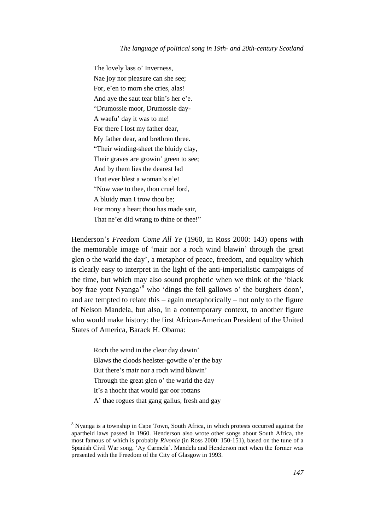The lovely lass [o'](http://www.robertburns.org/works/glossary/1208.html) Inverness, [Nae](http://www.robertburns.org/works/glossary/1179.html) joy nor pleasure can she see; For, [e'en](http://www.robertburns.org/works/glossary/590.html) to morn she cries, alas! And aye th[e saut](http://www.robertburns.org/works/glossary/1384.html) tear blin's her e'e. "Drumossie moor, Drumossie day-A waefu' day it was to me! For there I lost my father dear, My father dear, and brethren three. "Their winding-sheet the bluidy clay, Their graves are growin' green to see; And [by](http://www.robertburns.org/works/glossary/291.html) them lies the dearest lad That ever blest a woman's e'e! "Now [wae](http://www.robertburns.org/works/glossary/1775.html) to thee, thou cruel lord, A [bluidy](http://www.robertburns.org/works/glossary/196.html) man I trow thou be; For mony a heart thou has made sair, That ne'er did [wrang](http://www.robertburns.org/works/glossary/1894.html) to thine [or](http://www.robertburns.org/works/glossary/1212.html) thee!"

Henderson's *Freedom Come All Ye* (1960, in Ross 2000: 143) opens with the memorable image of 'mair nor a roch wind blawin' through the great glen o the warld the day', a metaphor of peace, freedom, and equality which is clearly easy to interpret in the light of the anti-imperialistic campaigns of the time, but which may also sound prophetic when we think of the 'black boy frae yont Nyanga<sup>38</sup> who 'dings the fell gallows o' the burghers doon', and are tempted to relate this – again metaphorically – not only to the figure of Nelson Mandela, but also, in a contemporary context, to another figure who would make history: the first African*-*American President of the United States of America, Barack H. Obama:

Roch the wind in the clear day dawin' Blaws the cloods heelster-gowdie o'er the bay But there's mair nor a roch wind blawin' Through the great glen o' the warld the day It's a thocht that would gar oor rottans A' thae rogues that gang gallus, fresh and gay

 $\overline{a}$ 

<sup>8</sup> Nyanga is a township in Cape Town, South Africa, in which protests occurred against the apartheid laws passed in 1960. Henderson also wrote other songs about South Africa, the most famous of which is probably *Rivonia* (in Ross 2000: 150-151), based on the tune of a Spanish Civil War song, 'Ay Carmela'. Mandela and Henderson met when the former was presented with the Freedom of the City of Glasgow in 1993.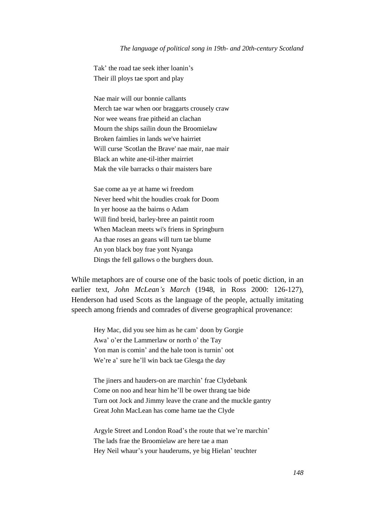Tak' the road tae seek ither loanin's Their ill ploys tae sport and play

Nae mair will our bonnie callants Merch tae war when oor braggarts crousely craw Nor wee weans frae pitheid an clachan Mourn the ships sailin doun the Broomielaw Broken faimlies in lands we've hairriet Will curse 'Scotlan the Brave' nae mair, nae mair Black an white ane-til-ither mairriet Mak the vile barracks o thair maisters bare

Sae come aa ye at hame wi freedom Never heed whit the houdies croak for Doom In yer hoose aa the bairns o Adam Will find breid, barley-bree an paintit room When Maclean meets wi's friens in Springburn Aa thae roses an geans will turn tae blume An yon black boy frae yont Nyanga Dings the fell gallows o the burghers doun.

While metaphors are of course one of the basic tools of poetic diction, in an earlier text, *John McLean's March* (1948, in Ross 2000: 126-127), Henderson had used Scots as the language of the people, actually imitating speech among friends and comrades of diverse geographical provenance:

Hey Mac, did you see him as he cam' doon by Gorgie Awa' o'er the Lammerlaw or north o' the Tay Yon man is comin' and the hale toon is turnin' oot We're a' sure he'll win back tae Glesga the day

The jiners and hauders-on are marchin' frae Clydebank Come on noo and hear him he'll be ower thrang tae bide Turn oot Jock and Jimmy leave the crane and the muckle gantry Great John MacLean has come hame tae the Clyde

Argyle Street and London Road's the route that we're marchin' The lads frae the Broomielaw are here tae a man Hey Neil whaur's your hauderums, ye big Hielan' teuchter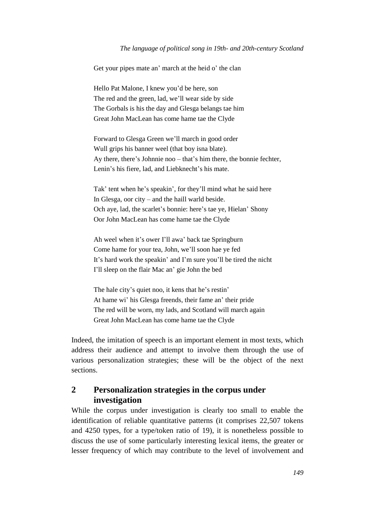#### *The language of political song in 19th- and 20th-century Scotland*

Get your pipes mate an' march at the heid o' the clan

Hello Pat Malone, I knew you'd be here, son The red and the green, lad, we'll wear side by side The Gorbals is his the day and Glesga belangs tae him Great John MacLean has come hame tae the Clyde

Forward to Glesga Green we'll march in good order Wull grips his banner weel (that boy isna blate). Ay there, there's Johnnie noo – that's him there, the bonnie fechter, Lenin's his fiere, lad, and Liebknecht's his mate.

Tak' tent when he's speakin', for they'll mind what he said here In Glesga, oor city – and the haill warld beside. Och aye, lad, the scarlet's bonnie: here's tae ye, Hielan' Shony Oor John MacLean has come hame tae the Clyde

Ah weel when it's ower I'll awa' back tae Springburn Come hame for your tea, John, we'll soon hae ye fed It's hard work the speakin' and I'm sure you'll be tired the nicht I'll sleep on the flair Mac an' gie John the bed

The hale city's quiet noo, it kens that he's restin' At hame wi' his Glesga freends, their fame an' their pride The red will be worn, my lads, and Scotland will march again Great John MacLean has come hame tae the Clyde

Indeed, the imitation of speech is an important element in most texts, which address their audience and attempt to involve them through the use of various personalization strategies; these will be the object of the next sections.

## **2 Personalization strategies in the corpus under investigation**

While the corpus under investigation is clearly too small to enable the identification of reliable quantitative patterns (it comprises 22,507 tokens and 4250 types, for a type/token ratio of 19), it is nonetheless possible to discuss the use of some particularly interesting lexical items, the greater or lesser frequency of which may contribute to the level of involvement and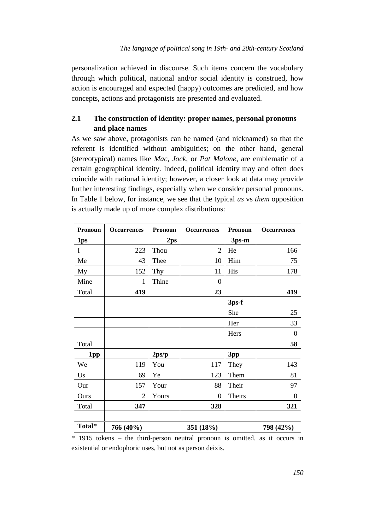personalization achieved in discourse. Such items concern the vocabulary through which political, national and/or social identity is construed, how action is encouraged and expected (happy) outcomes are predicted, and how concepts, actions and protagonists are presented and evaluated.

## **2.1 The construction of identity: proper names, personal pronouns and place names**

As we saw above, protagonists can be named (and nicknamed) so that the referent is identified without ambiguities; on the other hand, general (stereotypical) names like *Mac*, *Jock*, or *Pat Malone*, are emblematic of a certain geographical identity. Indeed, political identity may and often does coincide with national identity; however, a closer look at data may provide further interesting findings, especially when we consider personal pronouns. In Table 1 below, for instance, we see that the typical *us* vs *them* opposition is actually made up of more complex distributions:

| Pronoun     | <b>Occurrences</b> | <b>Pronoun</b>  | <b>Occurrences</b> | Pronoun | <b>Occurrences</b> |
|-------------|--------------------|-----------------|--------------------|---------|--------------------|
| 1ps         |                    | 2 <sub>ps</sub> |                    | 3ps-m   |                    |
| $\mathbf I$ | 223                | Thou            | $\overline{2}$     | He      | 166                |
| Me          | 43                 | Thee            | 10                 | Him     | 75                 |
| My          | 152                | Thy             | 11                 | His     | 178                |
| Mine        | $\mathbf{1}$       | Thine           | $\boldsymbol{0}$   |         |                    |
| Total       | 419                |                 | 23                 |         | 419                |
|             |                    |                 |                    | 3ps-f   |                    |
|             |                    |                 |                    | She     | 25                 |
|             |                    |                 |                    | Her     | 33                 |
|             |                    |                 |                    | Hers    | $\theta$           |
| Total       |                    |                 |                    |         | 58                 |
| 1pp         |                    | 2ps/p           |                    | 3pp     |                    |
| We          | 119                | You             | 117                | They    | 143                |
| Us          | 69                 | Ye              | 123                | Them    | 81                 |
| Our         | 157                | Your            | 88                 | Their   | 97                 |
| Ours        | $\overline{2}$     | Yours           | $\boldsymbol{0}$   | Theirs  | $\theta$           |
| Total       | 347                |                 | 328                |         | 321                |
|             |                    |                 |                    |         |                    |
| Total*      | 766 (40%)          |                 | 351 (18%)          |         | 798 (42%)          |

\* 1915 tokens – the third-person neutral pronoun is omitted, as it occurs in existential or endophoric uses, but not as person deixis.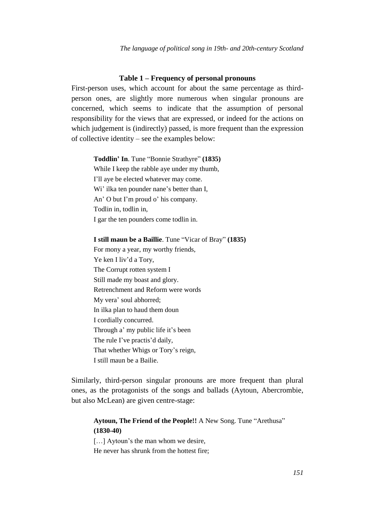### **Table 1 – Frequency of personal pronouns**

First-person uses, which account for about the same percentage as thirdperson ones, are slightly more numerous when singular pronouns are concerned, which seems to indicate that the assumption of personal responsibility for the views that are expressed, or indeed for the actions on which judgement is (indirectly) passed, is more frequent than the expression of collective identity – see the examples below:

#### **Toddlin' In**. Tune "Bonnie Strathyre" **(1835)**

While I keep the rabble aye under my thumb, I'll aye be elected whatever may come. Wi' ilka ten pounder nane's better than I, An' O but I'm proud o' his company. Todlin in, todlin in, I gar the ten pounders come todlin in.

**I still maun be a Baillie**. Tune "Vicar of Bray" **(1835)**

For mony a year, my worthy friends, Ye ken I liv'd a Tory, The Corrupt rotten system I Still made my boast and glory. Retrenchment and Reform were words My vera' soul abhorred; In ilka plan to haud them doun I cordially concurred. Through a' my public life it's been The rule I've practis'd daily, That whether Whigs or Tory's reign, I still maun be a Bailie.

Similarly, third-person singular pronouns are more frequent than plural ones, as the protagonists of the songs and ballads (Aytoun, Abercrombie, but also McLean) are given centre-stage:

## **Aytoun, The Friend of the People!!** A New Song. Tune "Arethusa" **(1830-40)**

[...] Aytoun's the man whom we desire,

He never has shrunk from the hottest fire;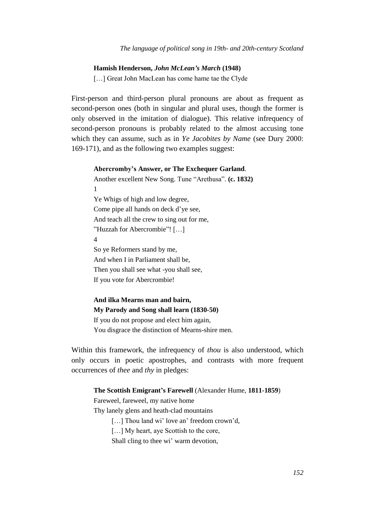#### **Hamish Henderson,** *John McLean's March* **(1948)**

[...] Great John MacLean has come hame tae the Clyde

First-person and third-person plural pronouns are about as frequent as second-person ones (both in singular and plural uses, though the former is only observed in the imitation of dialogue). This relative infrequency of second-person pronouns is probably related to the almost accusing tone which they can assume, such as in *Ye Jacobites by Name* (see Dury 2000: 169-171), and as the following two examples suggest:

#### **Abercromby's Answer, or The Exchequer Garland**.

Another excellent New Song. Tune "Arethusa". **(c. 1832)** 1 Ye Whigs of high and low degree, Come pipe all hands on deck d'ye see, And teach all the crew to sing out for me, "Huzzah for Abercrombie"! […] 4 So ye Reformers stand by me, And when I in Parliament shall be, Then you shall see what -you shall see, If you vote for Abercrombie!

**And ilka Mearns man and bairn, My Parody and Song shall learn (1830-50)** If you do not propose and elect him again, You disgrace the distinction of Mearns-shire men.

Within this framework, the infrequency of *thou* is also understood, which only occurs in poetic apostrophes, and contrasts with more frequent occurrences of *thee* and *thy* in pledges:

#### **The Scottish Emigrant's Farewell** (Alexander Hume, **1811-1859**)

Fareweel, fareweel, my native home

Thy lanely glens and heath-clad mountains

[...] Thou land wi' love an' freedom crown'd,

[...] My heart, aye Scottish to the core,

Shall cling to thee wi' warm devotion,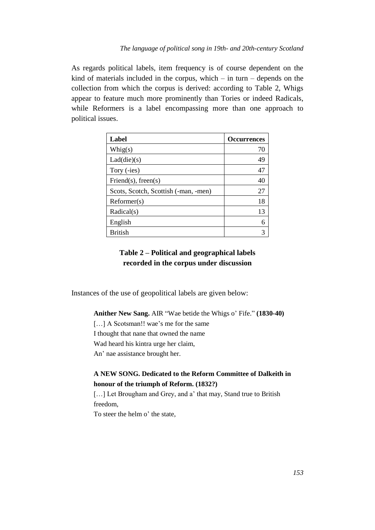As regards political labels, item frequency is of course dependent on the kind of materials included in the corpus, which  $-$  in turn  $-$  depends on the collection from which the corpus is derived: according to Table 2, Whigs appear to feature much more prominently than Tories or indeed Radicals, while Reformers is a label encompassing more than one approach to political issues.

| Label                                | <b>Occurrences</b> |
|--------------------------------------|--------------------|
| Whig(s)                              | 70                 |
| Lad(die)(s)                          | 49                 |
| Tory (-ies)                          | 47                 |
| Friend $(s)$ , freen $(s)$           | 40                 |
| Scots, Scotch, Scottish (-man, -men) | 27                 |
| Reformer(s)                          | 18                 |
| Radical(s)                           | 13                 |
| English                              | 6                  |
| <b>British</b>                       | 3                  |

## **Table 2 – Political and geographical labels recorded in the corpus under discussion**

Instances of the use of geopolitical labels are given below:

**Anither New Sang.** AIR "Wae betide the Whigs o' Fife." **(1830-40)** [...] A Scotsman!! wae's me for the same I thought that nane that owned the name Wad heard his kintra urge her claim, An' nae assistance brought her.

## **A NEW SONG. Dedicated to the Reform Committee of Dalkeith in honour of the triumph of Reform. (1832?)**

[...] Let Brougham and Grey, and a' that may, Stand true to British freedom,

To steer the helm o' the state,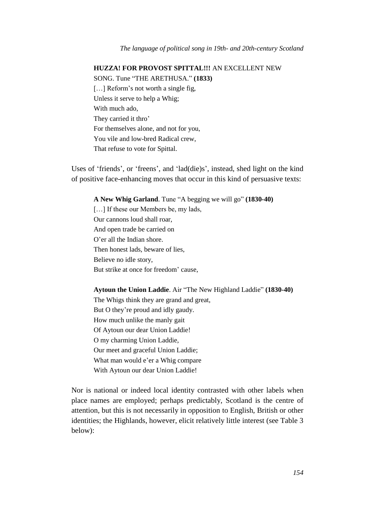## **HUZZA! FOR PROVOST SPITTAL!!!** AN EXCELLENT NEW

SONG. Tune "THE ARETHUSA." **(1833)**

[...] Reform's not worth a single fig, Unless it serve to help a Whig; With much ado, They carried it thro' For themselves alone, and not for you, You vile and low-bred Radical crew, That refuse to vote for Spittal.

Uses of 'friends', or 'freens', and 'lad(die)s', instead, shed light on the kind of positive face-enhancing moves that occur in this kind of persuasive texts:

**A New Whig Garland**. Tune "A begging we will go" **(1830-40)**

[...] If these our Members be, my lads, Our cannons loud shall roar, And open trade be carried on O'er all the Indian shore. Then honest lads, beware of lies, Believe no idle story, But strike at once for freedom' cause,

**Aytoun the Union Laddie**. Air "The New Highland Laddie" **(1830-40)** The Whigs think they are grand and great, But O they're proud and idly gaudy. How much unlike the manly gait Of Aytoun our dear Union Laddie! O my charming Union Laddie, Our meet and graceful Union Laddie; What man would e'er a Whig compare With Aytoun our dear Union Laddie!

Nor is national or indeed local identity contrasted with other labels when place names are employed; perhaps predictably, Scotland is the centre of attention, but this is not necessarily in opposition to English, British or other identities; the Highlands, however, elicit relatively little interest (see Table 3 below):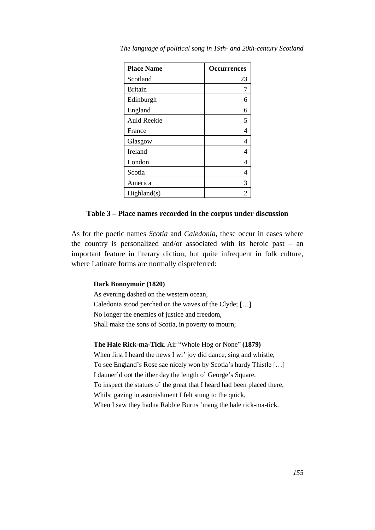| <b>Place Name</b>  | <b>Occurrences</b> |  |
|--------------------|--------------------|--|
| Scotland           | 23                 |  |
| <b>Britain</b>     |                    |  |
| Edinburgh          | 6                  |  |
| England            | 6                  |  |
| <b>Auld Reekie</b> | 5                  |  |
| France             | 4                  |  |
| Glasgow            | 4                  |  |
| Ireland            | 4                  |  |
| London             | 4                  |  |
| Scotia             | 4                  |  |
| America            | 3                  |  |
| Highland(s)        |                    |  |

*The language of political song in 19th- and 20th-century Scotland*

#### **Table 3 – Place names recorded in the corpus under discussion**

As for the poetic names *Scotia* and *Caledonia*, these occur in cases where the country is personalized and/or associated with its heroic past – an important feature in literary diction, but quite infrequent in folk culture, where Latinate forms are normally dispreferred:

#### **Dark Bonnymuir (1820)**

As evening dashed on the western ocean, Caledonia stood perched on the waves of the Clyde; […] No longer the enemies of justice and freedom, Shall make the sons of Scotia, in poverty to mourn;

**The Hale Rick-ma-Tick**. Air "Whole Hog or None" **(1879)** When first I heard the news I wi' joy did dance, sing and whistle, To see England's Rose sae nicely won by Scotia's hardy Thistle […] I dauner'd oot the ither day the length o' George's Square, To inspect the statues o' the great that I heard had been placed there, Whilst gazing in astonishment I felt stung to the quick, When I saw they hadna Rabbie Burns 'mang the hale rick-ma-tick.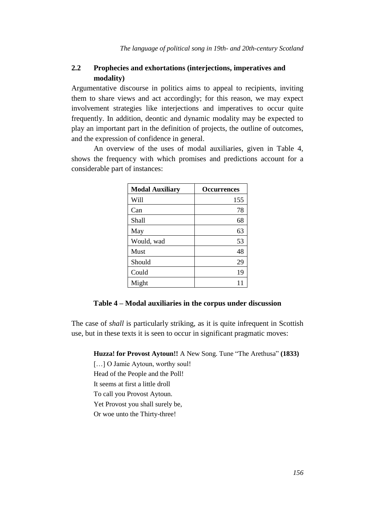## **2.2 Prophecies and exhortations (interjections, imperatives and modality)**

Argumentative discourse in politics aims to appeal to recipients, inviting them to share views and act accordingly; for this reason, we may expect involvement strategies like interjections and imperatives to occur quite frequently. In addition, deontic and dynamic modality may be expected to play an important part in the definition of projects, the outline of outcomes, and the expression of confidence in general.

An overview of the uses of modal auxiliaries, given in Table 4, shows the frequency with which promises and predictions account for a considerable part of instances:

| <b>Modal Auxiliary</b> | <b>Occurrences</b> |  |
|------------------------|--------------------|--|
| Will                   | 155                |  |
| Can                    | 78                 |  |
| Shall                  | 68                 |  |
| May                    | 63                 |  |
| Would, wad             | 53                 |  |
| Must                   | 48                 |  |
| Should                 | 29                 |  |
| Could                  | 19                 |  |
| Might                  | 11                 |  |

### **Table 4 – Modal auxiliaries in the corpus under discussion**

The case of *shall* is particularly striking, as it is quite infrequent in Scottish use, but in these texts it is seen to occur in significant pragmatic moves:

**Huzza! for Provost Aytoun!!** A New Song. Tune "The Arethusa" **(1833)**

[...] O Jamie Aytoun, worthy soul!

Head of the People and the Poll!

It seems at first a little droll

To call you Provost Aytoun.

Yet Provost you shall surely be,

Or woe unto the Thirty-three!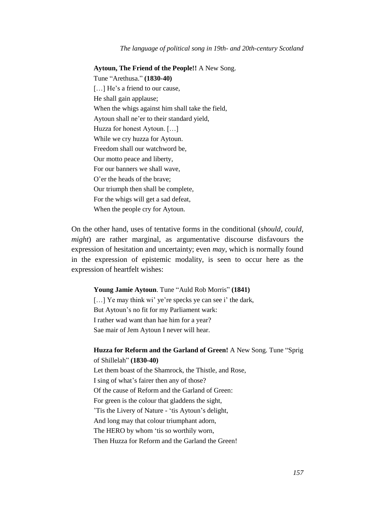**Aytoun, The Friend of the People!!** A New Song. Tune "Arethusa." **(1830-40)** [...] He's a friend to our cause. He shall gain applause; When the whigs against him shall take the field, Aytoun shall ne'er to their standard yield, Huzza for honest Aytoun. […] While we cry huzza for Aytoun. Freedom shall our watchword be, Our motto peace and liberty, For our banners we shall wave, O'er the heads of the brave; Our triumph then shall be complete, For the whigs will get a sad defeat, When the people cry for Aytoun.

On the other hand, uses of tentative forms in the conditional (*should*, *could*, *might*) are rather marginal, as argumentative discourse disfavours the expression of hesitation and uncertainty; even *may*, which is normally found in the expression of epistemic modality, is seen to occur here as the expression of heartfelt wishes:

#### **Young Jamie Aytoun**. Tune "Auld Rob Morris" **(1841)**

[...] Ye may think wi' ye're specks ye can see i' the dark, But Aytoun's no fit for my Parliament wark: I rather wad want than hae him for a year? Sae mair of Jem Aytoun I never will hear.

## **Huzza for Reform and the Garland of Green!** A New Song. Tune "Sprig of Shillelah" **(1830-40)**

Let them boast of the Shamrock, the Thistle, and Rose, I sing of what's fairer then any of those? Of the cause of Reform and the Garland of Green: For green is the colour that gladdens the sight, 'Tis the Livery of Nature - 'tis Aytoun's delight, And long may that colour triumphant adorn, The HERO by whom 'tis so worthily worn, Then Huzza for Reform and the Garland the Green!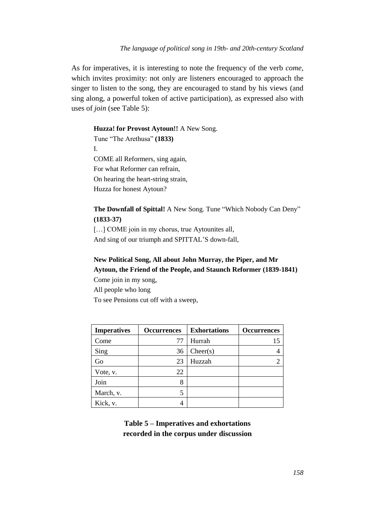As for imperatives, it is interesting to note the frequency of the verb *come*, which invites proximity: not only are listeners encouraged to approach the singer to listen to the song, they are encouraged to stand by his views (and sing along, a powerful token of active participation), as expressed also with uses of *join* (see Table 5):

### **Huzza! for Provost Aytoun!!** A New Song.

Tune "The Arethusa" **(1833)** I. COME all Reformers, sing again, For what Reformer can refrain, On hearing the heart-string strain, Huzza for honest Aytoun?

**The Downfall of Spittal!** A New Song. Tune "Which Nobody Can Deny" **(1833-37)**

[...] COME join in my chorus, true Aytounites all, And sing of our triumph and SPITTAL'S down-fall,

## **New Political Song, All about John Murray, the Piper, and Mr Aytoun, the Friend of the People, and Staunch Reformer (1839-1841)**

Come join in my song, All people who long To see Pensions cut off with a sweep,

| <b>Imperatives</b> | <b>Occurrences</b> | <b>Exhortations</b> | <b>Occurrences</b> |
|--------------------|--------------------|---------------------|--------------------|
| Come               | 77                 | Hurrah              | 15                 |
| Sing               | 36                 | Cheer(s)            |                    |
| Go                 | 23                 | Huzzah              |                    |
| Vote, v.           | 22                 |                     |                    |
| Join               | 8                  |                     |                    |
| March, v.          |                    |                     |                    |
| Kick, v.           |                    |                     |                    |

**Table 5 – Imperatives and exhortations recorded in the corpus under discussion**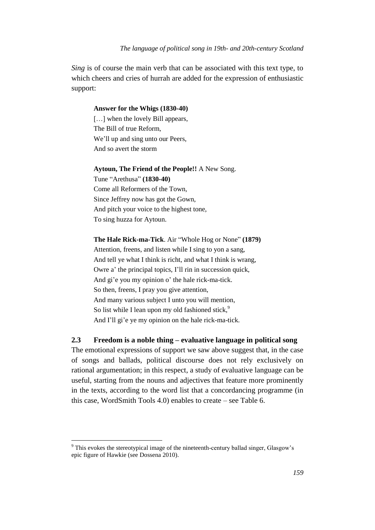#### *The language of political song in 19th- and 20th-century Scotland*

*Sing* is of course the main verb that can be associated with this text type, to which cheers and cries of hurrah are added for the expression of enthusiastic support:

### **Answer for the Whigs (1830-40)**

[...] when the lovely Bill appears, The Bill of true Reform, We'll up and sing unto our Peers, And so avert the storm

#### **Aytoun, The Friend of the People!!** A New Song.

Tune "Arethusa" **(1830-40)** Come all Reformers of the Town, Since Jeffrey now has got the Gown, And pitch your voice to the highest tone, To sing huzza for Aytoun.

#### **The Hale Rick-ma-Tick**. Air "Whole Hog or None" **(1879)**

Attention, freens, and listen while I sing to yon a sang, And tell ye what I think is richt, and what I think is wrang, Owre a' the principal topics, I'll rin in succession quick, And gi'e you my opinion o' the hale rick-ma-tick. So then, freens, I pray you give attention, And many various subject I unto you will mention, So list while I lean upon my old fashioned stick, $9$ And I'll gi'e ye my opinion on the hale rick-ma-tick.

### **2.3 Freedom is a noble thing – evaluative language in political song**

The emotional expressions of support we saw above suggest that, in the case of songs and ballads, political discourse does not rely exclusively on rational argumentation; in this respect, a study of evaluative language can be useful, starting from the nouns and adjectives that feature more prominently in the texts, according to the word list that a concordancing programme (in this case, WordSmith Tools 4.0) enables to create – see Table 6.

<sup>&</sup>lt;sup>9</sup> This evokes the stereotypical image of the nineteenth-century ballad singer, Glasgow's epic figure of Hawkie (see Dossena 2010).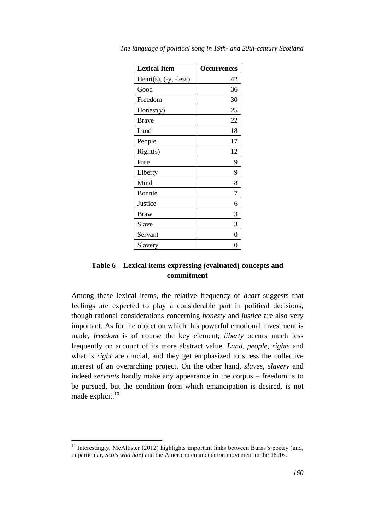| <b>Lexical Item</b>     | <b>Occurrences</b> |  |
|-------------------------|--------------------|--|
| Heart(s), $(-y, -less)$ | 42                 |  |
| Good                    | 36                 |  |
| Freedom                 | 30                 |  |
| Honest(y)               | 25                 |  |
| Brave                   | 22                 |  |
| Land                    | 18                 |  |
| People                  | 17                 |  |
| Right(s)                | 12                 |  |
| Free                    | 9                  |  |
| Liberty                 | 9                  |  |
| Mind                    | 8                  |  |
| Bonnie                  | 7                  |  |
| Justice                 | 6                  |  |
| Braw                    | 3                  |  |
| Slave                   | 3                  |  |
| Servant                 | 0                  |  |
| Slavery                 |                    |  |

*The language of political song in 19th- and 20th-century Scotland*

## **Table 6 – Lexical items expressing (evaluated) concepts and commitment**

Among these lexical items, the relative frequency of *heart* suggests that feelings are expected to play a considerable part in political decisions, though rational considerations concerning *honesty* and *justice* are also very important. As for the object on which this powerful emotional investment is made, *freedom* is of course the key element; *liberty* occurs much less frequently on account of its more abstract value. *Land*, *people*, *rights* and what is *right* are crucial, and they get emphasized to stress the collective interest of an overarching project. On the other hand, *slaves*, *slavery* and indeed *servants* hardly make any appearance in the corpus – freedom is to be pursued, but the condition from which emancipation is desired, is not made explicit. $10$ 

<sup>&</sup>lt;sup>10</sup> Interestingly, McAllister (2012) highlights important links between Burns's poetry (and, in particular, *Scots wha hae*) and the American emancipation movement in the 1820s.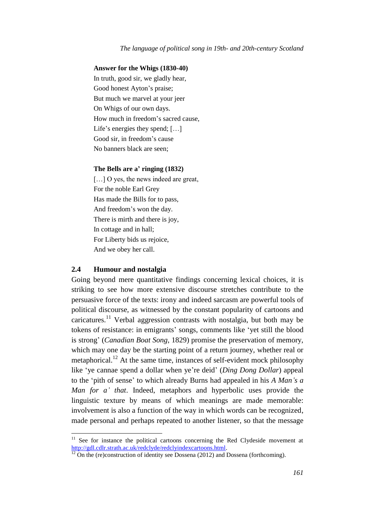### **Answer for the Whigs (1830-40)**

In truth, good sir, we gladly hear, Good honest Ayton's praise; But much we marvel at your jeer On Whigs of our own days. How much in freedom's sacred cause, Life's energies they spend; [...] Good sir, in freedom's cause No banners black are seen;

### **The Bells are a' ringing (1832)**

[...] O yes, the news indeed are great, For the noble Earl Grey Has made the Bills for to pass, And freedom's won the day. There is mirth and there is joy, In cottage and in hall; For Liberty bids us rejoice, And we obey her call.

### **2.4 Humour and nostalgia**

 $\overline{a}$ 

Going beyond mere quantitative findings concerning lexical choices, it is striking to see how more extensive discourse stretches contribute to the persuasive force of the texts: irony and indeed sarcasm are powerful tools of political discourse, as witnessed by the constant popularity of cartoons and caricatures.<sup>11</sup> Verbal aggression contrasts with nostalgia, but both may be tokens of resistance: in emigrants' songs, comments like 'yet still the blood is strong' (*Canadian Boat Song*, 1829) promise the preservation of memory, which may one day be the starting point of a return journey, whether real or metaphorical.<sup>12</sup> At the same time, instances of self-evident mock philosophy like 'ye cannae spend a dollar when ye're deid' (*Ding Dong Dollar*) appeal to the 'pith of sense' to which already Burns had appealed in his *A Man's a Man for a' that*. Indeed, metaphors and hyperbolic uses provide the linguistic texture by means of which meanings are made memorable: involvement is also a function of the way in which words can be recognized, made personal and perhaps repeated to another listener, so that the message

 $11$  See for instance the political cartoons concerning the Red Clydeside movement at [http://gdl.cdlr.strath.ac.uk/redclyde/redclyindexcartoons.html.](http://gdl.cdlr.strath.ac.uk/redclyde/redclyindexcartoons.html)<br><sup>12</sup> On the (rederainty of the forest contract of the contract of the forest contract of the contract of the contract of the contract of the contract of the c

<sup>12</sup> On the (re)construction of identity see Dossena (2012) and Dossena (forthcoming).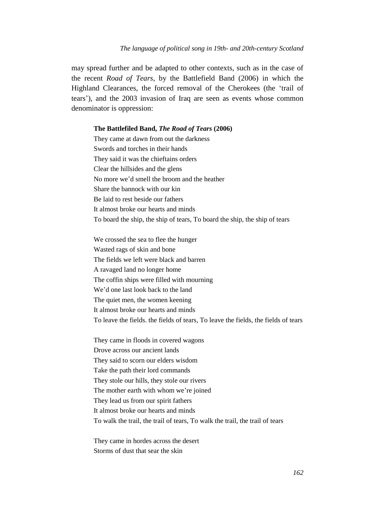may spread further and be adapted to other contexts, such as in the case of the recent *Road of Tears*, by the Battlefield Band (2006) in which the Highland Clearances, the forced removal of the Cherokees (the 'trail of tears'), and the 2003 invasion of Iraq are seen as events whose common denominator is oppression:

#### **The Battlefiled Band,** *The Road of Tears* **(2006)**

They came at dawn from out the darkness Swords and torches in their hands They said it was the chieftains orders Clear the hillsides and the glens No more we'd smell the broom and the heather Share the bannock with our kin Be laid to rest beside our fathers It almost broke our hearts and minds To board the ship, the ship of tears, To board the ship, the ship of tears

We crossed the sea to flee the hunger Wasted rags of skin and bone The fields we left were black and barren A ravaged land no longer home The coffin ships were filled with mourning We'd one last look back to the land The quiet men, the women keening It almost broke our hearts and minds To leave the fields. the fields of tears, To leave the fields, the fields of tears

They came in floods in covered wagons Drove across our ancient lands They said to scorn our elders wisdom Take the path their lord commands They stole our hills, they stole our rivers The mother earth with whom we're joined They lead us from our spirit fathers It almost broke our hearts and minds To walk the trail, the trail of tears, To walk the trail, the trail of tears

They came in hordes across the desert Storms of dust that sear the skin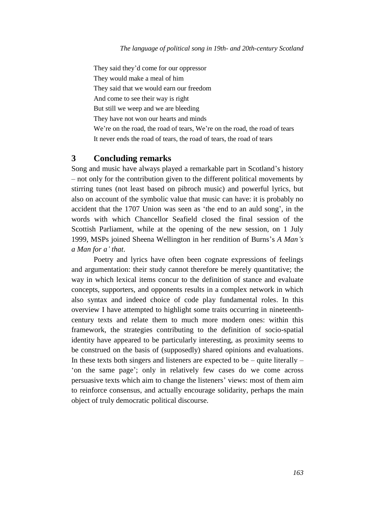They said they'd come for our oppressor

They would make a meal of him

They said that we would earn our freedom

And come to see their way is right

But still we weep and we are bleeding

They have not won our hearts and minds

We're on the road, the road of tears, We're on the road, the road of tears It never ends the road of tears, the road of tears, the road of tears

## **3 Concluding remarks**

Song and music have always played a remarkable part in Scotland's history – not only for the contribution given to the different political movements by stirring tunes (not least based on pibroch music) and powerful lyrics, but also on account of the symbolic value that music can have: it is probably no accident that the 1707 Union was seen as 'the end to an auld song', in the words with which Chancellor Seafield closed the final session of the Scottish Parliament, while at the opening of the new session, on 1 July 1999, MSPs joined Sheena Wellington in her rendition of Burns's *A Man's a Man for a' that*.

Poetry and lyrics have often been cognate expressions of feelings and argumentation: their study cannot therefore be merely quantitative; the way in which lexical items concur to the definition of stance and evaluate concepts, supporters, and opponents results in a complex network in which also syntax and indeed choice of code play fundamental roles. In this overview I have attempted to highlight some traits occurring in nineteenthcentury texts and relate them to much more modern ones: within this framework, the strategies contributing to the definition of socio-spatial identity have appeared to be particularly interesting, as proximity seems to be construed on the basis of (supposedly) shared opinions and evaluations. In these texts both singers and listeners are expected to be  $-$  quite literally  $-$ 'on the same page'; only in relatively few cases do we come across persuasive texts which aim to change the listeners' views: most of them aim to reinforce consensus, and actually encourage solidarity, perhaps the main object of truly democratic political discourse.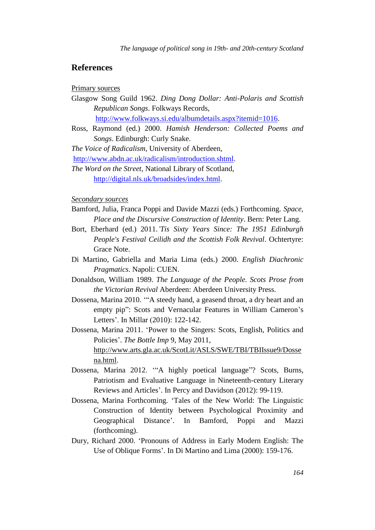## **References**

Primary sources

- Glasgow Song Guild 1962. *Ding Dong Dollar: Anti-Polaris and Scottish Republican Songs*. Folkways Records, [http://www.folkways.si.edu/albumdetails.aspx?itemid=1016.](http://www.folkways.si.edu/albumdetails.aspx?itemid=1016)
- Ross, Raymond (ed.) 2000. *Hamish Henderson: Collected Poems and*

*Songs*. Edinburgh: Curly Snake.

*The Voice of Radicalism*, University of Aberdeen,

[http://www.abdn.ac.uk/radicalism/introduction.shtml.](http://www.abdn.ac.uk/radicalism/introduction.shtml)

### *Secondary sources*

- Bamford, Julia, Franca Poppi and Davide Mazzi (eds.) Forthcoming. *Space, Place and the Discursive Construction of Identity*. Bern: Peter Lang.
- Bort, Eberhard (ed.) 2011.*'Tis Sixty Years Since: The 1951 Edinburgh People's Festival Ceilidh and the Scottish Folk Revival*. Ochtertyre: Grace Note.
- Di Martino, Gabriella and Maria Lima (eds.) 2000. *English Diachronic Pragmatics*. Napoli: CUEN.
- Donaldson, William 1989. *The Language of the People. Scots Prose from the Victorian Revival* Aberdeen: Aberdeen University Press.
- Dossena, Marina 2010. '"A steedy hand, a geasend throat, a dry heart and an empty pip": Scots and Vernacular Features in William Cameron's Letters'. In Millar (2010): 122-142.
- Dossena, Marina 2011. 'Power to the Singers: Scots, English, Politics and Policies'. *The Bottle Imp* 9, May 2011, [http://www.arts.gla.ac.uk/ScotLit/ASLS/SWE/TBI/TBIIssue9/Dosse](http://www.arts.gla.ac.uk/ScotLit/ASLS/SWE/TBI/TBIIssue9/Dossena.html) [na.html.](http://www.arts.gla.ac.uk/ScotLit/ASLS/SWE/TBI/TBIIssue9/Dossena.html)
- Dossena, Marina 2012. '"A highly poetical language"? Scots, Burns, Patriotism and Evaluative Language in Nineteenth-century Literary Reviews and Articles'. In Percy and Davidson (2012): 99-119.
- Dossena, Marina Forthcoming. 'Tales of the New World: The Linguistic Construction of Identity between Psychological Proximity and Geographical Distance'. In Bamford, Poppi and Mazzi (forthcoming).
- Dury, Richard 2000. 'Pronouns of Address in Early Modern English: The Use of Oblique Forms'. In Di Martino and Lima (2000): 159-176.

*The Word on the Street*, National Library of Scotland, [http://digital.nls.uk/broadsides/index.html.](http://digital.nls.uk/broadsides/index.html)